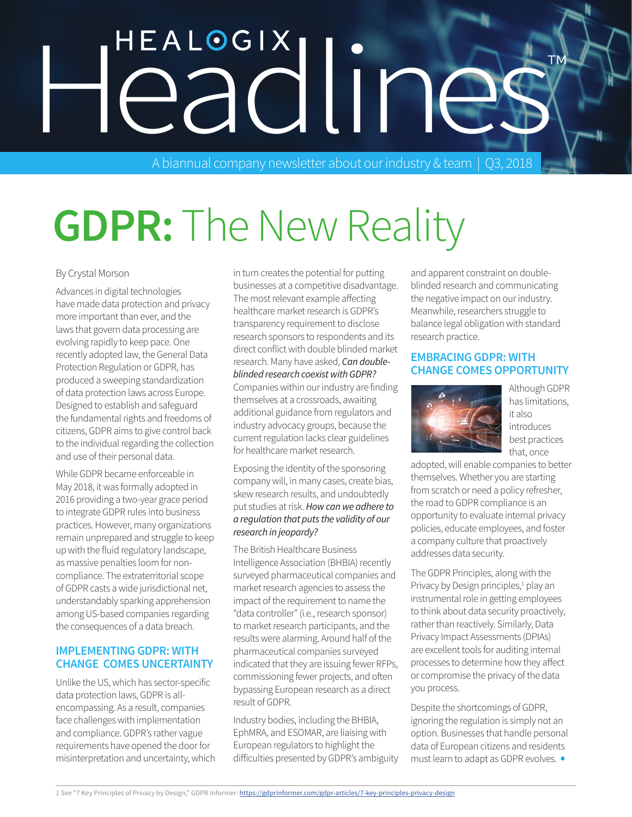# HEALOGIX<br>eadline

A biannual company newsletter about our industry & team | Q3, 2018

# **GDPR:** The New Reality

#### By Crystal Morson

Advances in digital technologies have made data protection and privacy more important than ever, and the laws that govern data processing are evolving rapidly to keep pace. One recently adopted law, the General Data Protection Regulation or GDPR, has produced a sweeping standardization of data protection laws across Europe. Designed to establish and safeguard the fundamental rights and freedoms of citizens, GDPR aims to give control back to the individual regarding the collection and use of their personal data.

While GDPR became enforceable in May 2018, it was formally adopted in 2016 providing a two-year grace period to integrate GDPR rules into business practices. However, many organizations remain unprepared and struggle to keep up with the fluid regulatory landscape, as massive penalties loom for noncompliance. The extraterritorial scope of GDPR casts a wide jurisdictional net, understandably sparking apprehension among US-based companies regarding the consequences of a data breach.

#### **IMPLEMENTING GDPR: WITH CHANGE COMES UNCERTAINTY**

Unlike the US, which has sector-specific data protection laws, GDPR is allencompassing. As a result, companies face challenges with implementation and compliance. GDPR's rather vague requirements have opened the door for misinterpretation and uncertainty, which in turn creates the potential for putting businesses at a competitive disadvantage. The most relevant example affecting healthcare market research is GDPR's transparency requirement to disclose research sponsors to respondents and its direct conflict with double blinded market research. Many have asked, *Can doubleblinded research coexist with GDPR?* Companies within our industry are finding themselves at a crossroads, awaiting additional guidance from regulators and industry advocacy groups, because the current regulation lacks clear guidelines for healthcare market research.

Exposing the identity of the sponsoring company will, in many cases, create bias, skew research results, and undoubtedly put studies at risk. *How can we adhere to a regulation that puts the validity of our research in jeopardy?* 

The British Healthcare Business Intelligence Association (BHBIA) recently surveyed pharmaceutical companies and market research agencies to assess the impact of the requirement to name the "data controller" (i.e., research sponsor) to market research participants, and the results were alarming. Around half of the pharmaceutical companies surveyed indicated that they are issuing fewer RFPs, commissioning fewer projects, and often bypassing European research as a direct result of GDPR.

Industry bodies, including the BHBIA, EphMRA, and ESOMAR, are liaising with European regulators to highlight the difficulties presented by GDPR's ambiguity and apparent constraint on doubleblinded research and communicating the negative impact on our industry. Meanwhile, researchers struggle to balance legal obligation with standard research practice.

#### **EMBRACING GDPR: WITH CHANGE COMES OPPORTUNITY**



Although GDPR has limitations, it also introduces best practices that, once

adopted, will enable companies to better themselves. Whether you are starting from scratch or need a policy refresher, the road to GDPR compliance is an opportunity to evaluate internal privacy policies, educate employees, and foster a company culture that proactively addresses data security.

The GDPR Principles, along with the Privacy by Design principles,<sup>1</sup> play an instrumental role in getting employees to think about data security proactively, rather than reactively. Similarly, Data Privacy Impact Assessments (DPIAs) are excellent tools for auditing internal processes to determine how they affect or compromise the privacy of the data you process.

Despite the shortcomings of GDPR, ignoring the regulation is simply not an option. Businesses that handle personal data of European citizens and residents must learn to adapt as GDPR evolves. •